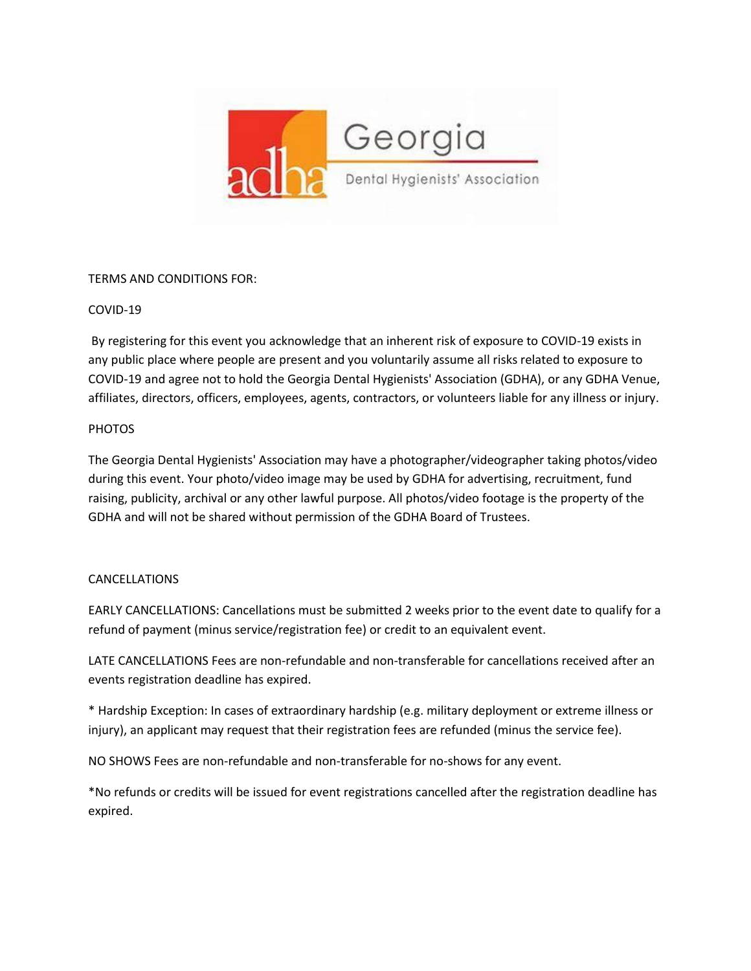

## TERMS AND CONDITIONS FOR:

## COVID-19

By registering for this event you acknowledge that an inherent risk of exposure to COVID-19 exists in any public place where people are present and you voluntarily assume all risks related to exposure to COVID-19 and agree not to hold the Georgia Dental Hygienists' Association (GDHA), or any GDHA Venue, affiliates, directors, officers, employees, agents, contractors, or volunteers liable for any illness or injury.

## **PHOTOS**

The Georgia Dental Hygienists' Association may have a photographer/videographer taking photos/video during this event. Your photo/video image may be used by GDHA for advertising, recruitment, fund raising, publicity, archival or any other lawful purpose. All photos/video footage is the property of the GDHA and will not be shared without permission of the GDHA Board of Trustees.

## CANCELLATIONS

EARLY CANCELLATIONS: Cancellations must be submitted 2 weeks prior to the event date to qualify for a refund of payment (minus service/registration fee) or credit to an equivalent event.

LATE CANCELLATIONS Fees are non-refundable and non-transferable for cancellations received after an events registration deadline has expired.

\* Hardship Exception: In cases of extraordinary hardship (e.g. military deployment or extreme illness or injury), an applicant may request that their registration fees are refunded (minus the service fee).

NO SHOWS Fees are non-refundable and non-transferable for no-shows for any event.

\*No refunds or credits will be issued for event registrations cancelled after the registration deadline has expired.